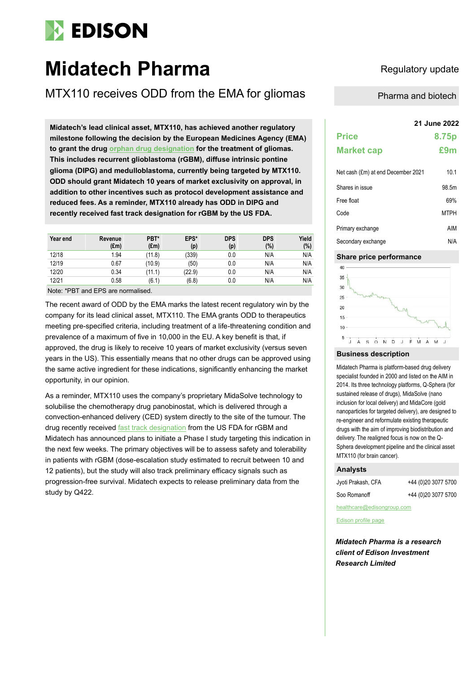# **EDISON**

## **Midatech Pharma** Regulatory update

MTX110 receives ODD from the EMA for gliomas Pharma and biotech

**21 June 2022 Midatech's lead clinical asset, MTX110, has achieved another regulatory milestone following the decision by the European Medicines Agency (EMA) to grant the drug [orphan drug designation](https://otp.investis.com/clients/uk/midatech/rns/regulatory-story.aspx?cid=976&newsid=1596773) for the treatment of gliomas. This includes recurrent glioblastoma (rGBM), diffuse intrinsic pontine glioma (DIPG) and medulloblastoma, currently being targeted by MTX110. ODD should grant Midatech 10 years of market exclusivity on approval, in addition to other incentives such as protocol development assistance and reduced fees. As a reminder, MTX110 already has ODD in DIPG and recently received fast track designation for rGBM by the US FDA.**

| Year end | Revenue       | PBT*          | EPS*   | <b>DPS</b> | <b>DPS</b> | Yield |
|----------|---------------|---------------|--------|------------|------------|-------|
|          | $(\text{Em})$ | $(\text{Em})$ | (p)    | (p)        | (%)        | (%)   |
| 12/18    | 1.94          | (11.8)        | (339)  | 0.0        | N/A        | N/A   |
| 12/19    | 0.67          | (10.9)        | (50)   | 0.0        | N/A        | N/A   |
| 12/20    | 0.34          | (11.1)        | (22.9) | 0.0        | N/A        | N/A   |
| 12/21    | 0.58          | (6.1)         | (6.8)  | 0.0        | N/A        | N/A   |

Note: \*PBT and EPS are normalised.

The recent award of ODD by the EMA marks the latest recent regulatory win by the company for its lead clinical asset, MTX110. The EMA grants ODD to therapeutics meeting pre-specified criteria, including treatment of a life-threatening condition and prevalence of a maximum of five in 10,000 in the EU. A key benefit is that, if approved, the drug is likely to receive 10 years of market exclusivity (versus seven years in the US). This essentially means that no other drugs can be approved using the same active ingredient for these indications, significantly enhancing the market opportunity, in our opinion.

As a reminder, MTX110 uses the company's proprietary MidaSolve technology to solubilise the chemotherapy drug panobinostat, which is delivered through a convection-enhanced delivery (CED) system directly to the site of the tumour. The drug recently received [fast track designation](https://otp.investis.com/clients/uk/midatech/rns/regulatory-story.aspx?cid=976&newsid=1590444) from the US FDA for rGBM and Midatech has announced plans to initiate a Phase I study targeting this indication in the next few weeks. The primary objectives will be to assess safety and tolerability in patients with rGBM (dose-escalation study estimated to recruit between 10 and 12 patients), but the study will also track preliminary efficacy signals such as progression-free survival. Midatech expects to release preliminary data from the study by Q422.

### **Price 8.75p Market cap £9m** Net cash (fm) at end December 2021 10.1

| Shares in issue    | 98.5m       |
|--------------------|-------------|
| Free float         | 69%         |
| Code               | <b>MTPH</b> |
| Primary exchange   | AIM         |
| Secondary exchange | N/A         |

### **Share price performance**



#### **Business description**

Midatech Pharma is platform-based drug delivery specialist founded in 2000 and listed on the AIM in 2014. Its three technology platforms, Q-Sphera (for sustained release of drugs), MidaSolve (nano inclusion for local delivery) and MidaCore (gold nanoparticles for targeted delivery), are designed to re-engineer and reformulate existing therapeutic drugs with the aim of improving biodistribution and delivery. The realigned focus is now on the Q-Sphera development pipeline and the clinical asset MTX110 (for brain cancer).

#### **Analysts**

| Jyoti Prakash, CFA | +44 (0)20 3077 5700 |
|--------------------|---------------------|
| Soo Romanoff       | +44 (0)20 3077 5700 |

healthcare@edisongroup.com

[Edison profile page](https://www.edisongroup.com/company/midatech-pharma/)

*Midatech Pharma is a research client of Edison Investment Research Limited*